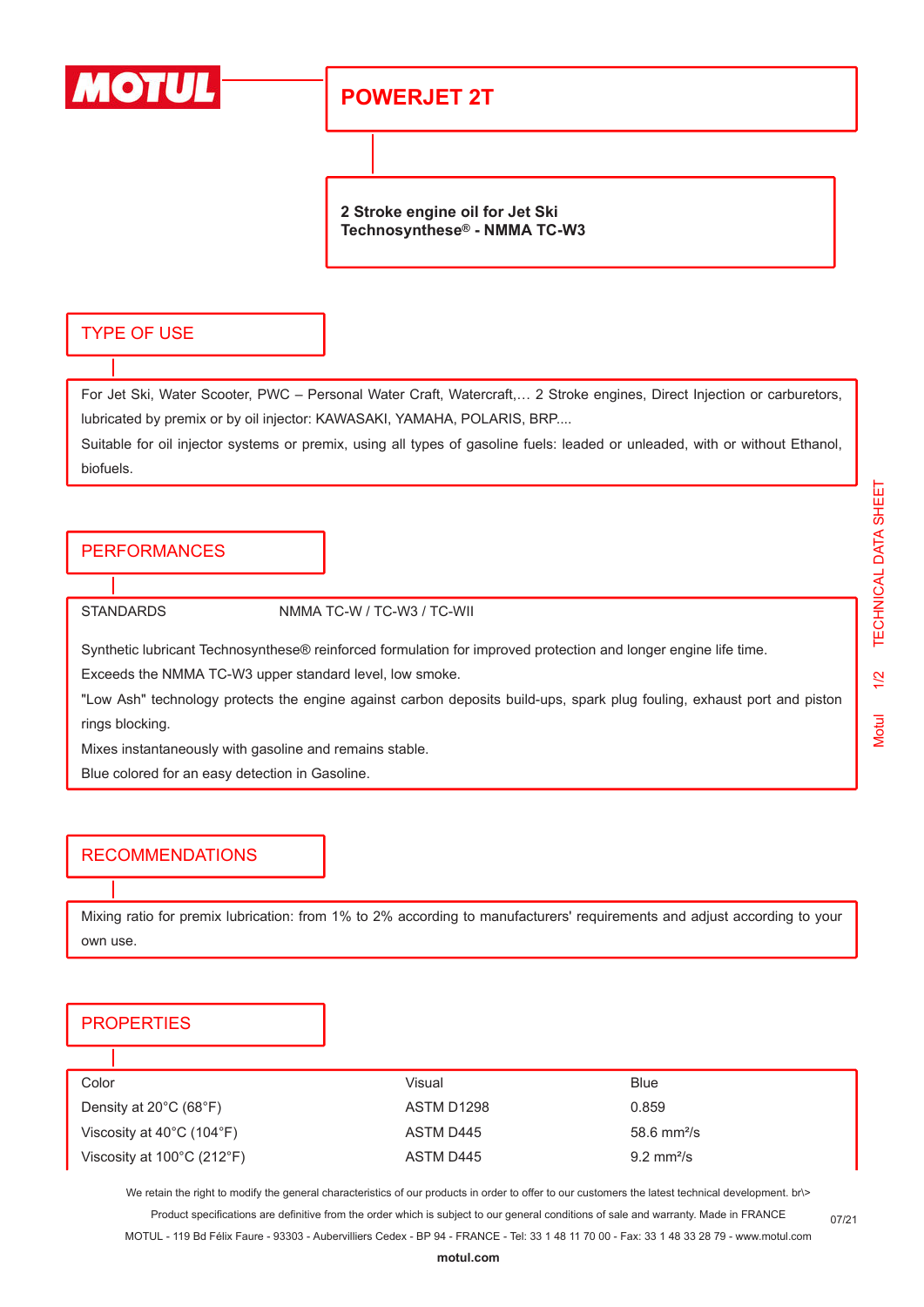

## **POWERJET 2T**

**2 Stroke engine oil for Jet Ski Technosynthese® - NMMA TC-W3**

#### TYPE OF USE

For Jet Ski, Water Scooter, PWC – Personal Water Craft, Watercraft,… 2 Stroke engines, Direct Injection or carburetors, lubricated by premix or by oil injector: KAWASAKI, YAMAHA, POLARIS, BRP....

Suitable for oil injector systems or premix, using all types of gasoline fuels: leaded or unleaded, with or without Ethanol, biofuels.

### **PERFORMANCES**

STANDARDS NMMA TC-W / TC-W3 / TC-WII

Synthetic lubricant Technosynthese® reinforced formulation for improved protection and longer engine life time.

Exceeds the NMMA TC-W3 upper standard level, low smoke.

"Low Ash" technology protects the engine against carbon deposits build-ups, spark plug fouling, exhaust port and piston rings blocking.

Mixes instantaneously with gasoline and remains stable.

Blue colored for an easy detection in Gasoline.

#### RECOMMENDATIONS

Mixing ratio for premix lubrication: from 1% to 2% according to manufacturers' requirements and adjust according to your own use.

#### **PROPERTIES**

| Color                                           | Visual     | Blue                         |
|-------------------------------------------------|------------|------------------------------|
| Density at $20^{\circ}$ C (68 $^{\circ}$ F)     | ASTM D1298 | 0.859                        |
| Viscosity at $40^{\circ}$ C (104 $^{\circ}$ F)  | ASTM D445  | $58.6 \text{ mm}^2/\text{s}$ |
| Viscosity at $100^{\circ}$ C (212 $^{\circ}$ F) | ASTM D445  | $9.2 \text{ mm}^2/\text{s}$  |

We retain the right to modify the general characteristics of our products in order to offer to our customers the latest technical development. br\> Product specifications are definitive from the order which is subject to our general conditions of sale and warranty. Made in FRANCE

MOTUL - 119 Bd Félix Faure - 93303 - Aubervilliers Cedex - BP 94 - FRANCE - Tel: 33 1 48 11 70 00 - Fax: 33 1 48 33 28 79 - www.motul.com

07/21